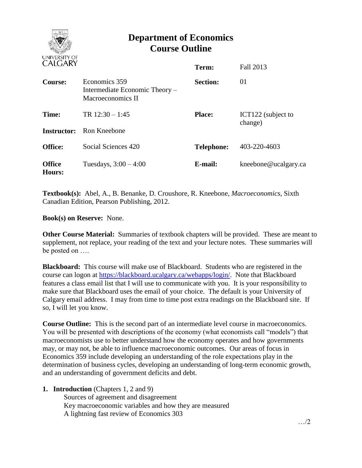

## **Department of Economics Course Outline**

| UTEUTINI                       |                                                                      | Term:             | <b>Fall 2013</b>              |
|--------------------------------|----------------------------------------------------------------------|-------------------|-------------------------------|
| Course:                        | Economics 359<br>Intermediate Economic Theory –<br>Macroeconomics II | <b>Section:</b>   | 01                            |
| Time:                          | TR $12:30 - 1:45$                                                    | <b>Place:</b>     | ICT122 (subject to<br>change) |
|                                | <b>Instructor:</b> Ron Kneebone                                      |                   |                               |
| <b>Office:</b>                 | Social Sciences 420                                                  | <b>Telephone:</b> | 403-220-4603                  |
| <b>Office</b><br><b>Hours:</b> | Tuesdays, $3:00 - 4:00$                                              | E-mail:           | kneebone@ucalgary.ca          |

**Textbook(s):** Abel, A., B. Benanke, D. Croushore, R. Kneebone, *Macroeconomics*, Sixth Canadian Edition, Pearson Publishing, 2012.

**Book(s) on Reserve:** None.

**Other Course Material:** Summaries of textbook chapters will be provided. These are meant to supplement, not replace, your reading of the text and your lecture notes. These summaries will be posted on ….

**Blackboard:** This course will make use of Blackboard. Students who are registered in the course can logon at [https://blackboard.ucalgary.ca/webapps/login/.](https://blackboard.ucalgary.ca/webapps/login/) Note that Blackboard features a class email list that I will use to communicate with you. It is your responsibility to make sure that Blackboard uses the email of your choice. The default is your University of Calgary email address. I may from time to time post extra readings on the Blackboard site. If so, I will let you know.

**Course Outline:** This is the second part of an intermediate level course in macroeconomics. You will be presented with descriptions of the economy (what economists call "models") that macroeconomists use to better understand how the economy operates and how governments may, or may not, be able to influence macroeconomic outcomes. Our areas of focus in Economics 359 include developing an understanding of the role expectations play in the determination of business cycles, developing an understanding of long-term economic growth, and an understanding of government deficits and debt.

**1. Introduction** (Chapters 1, 2 and 9)

Sources of agreement and disagreement Key macroeconomic variables and how they are measured A lightning fast review of Economics 303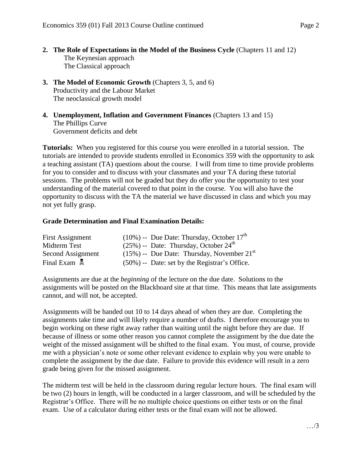- **2. The Role of Expectations in the Model of the Business Cycle** (Chapters 11 and 12) The Keynesian approach The Classical approach
- **3. The Model of Economic Growth** (Chapters 3, 5, and 6) Productivity and the Labour Market The neoclassical growth model

**4. Unemployment, Inflation and Government Finances** (Chapters 13 and 15) The Phillips Curve Government deficits and debt

**Tutorials:** When you registered for this course you were enrolled in a tutorial session. The tutorials are intended to provide students enrolled in Economics 359 with the opportunity to ask a teaching assistant (TA) questions about the course. I will from time to time provide problems for you to consider and to discuss with your classmates and your TA during these tutorial sessions. The problems will not be graded but they do offer you the opportunity to test your understanding of the material covered to that point in the course. You will also have the opportunity to discuss with the TA the material we have discussed in class and which you may not yet fully grasp.

## **Grade Determination and Final Examination Details:**

| First Assignment         | $(10\%)$ -- Due Date: Thursday, October 17 <sup>th</sup> |
|--------------------------|----------------------------------------------------------|
| Midterm Test             | $(25\%)$ -- Date: Thursday, October $24^{\text{th}}$     |
| Second Assignment        | $(15\%)$ -- Due Date: Thursday, November $21st$          |
| Final Exam $\frac{1}{2}$ | $(50\%)$ -- Date: set by the Registrar's Office.         |

Assignments are due at the *beginning* of the lecture on the due date. Solutions to the assignments will be posted on the Blackboard site at that time. This means that late assignments cannot, and will not, be accepted.

Assignments will be handed out 10 to 14 days ahead of when they are due. Completing the assignments take time and will likely require a number of drafts. I therefore encourage you to begin working on these right away rather than waiting until the night before they are due. If because of illness or some other reason you cannot complete the assignment by the due date the weight of the missed assignment will be shifted to the final exam. You must, of course, provide me with a physician's note or some other relevant evidence to explain why you were unable to complete the assignment by the due date. Failure to provide this evidence will result in a zero grade being given for the missed assignment.

The midterm test will be held in the classroom during regular lecture hours. The final exam will be two (2) hours in length, will be conducted in a larger classroom, and will be scheduled by the Registrar's Office. There will be no multiple choice questions on either tests or on the final exam. Use of a calculator during either tests or the final exam will not be allowed.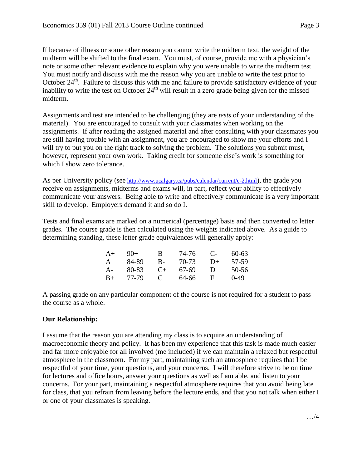If because of illness or some other reason you cannot write the midterm text, the weight of the midterm will be shifted to the final exam. You must, of course, provide me with a physician's note or some other relevant evidence to explain why you were unable to write the midterm test. You must notify and discuss with me the reason why you are unable to write the test prior to October 24<sup>th</sup>. Failure to discuss this with me and failure to provide satisfactory evidence of your inability to write the test on October  $24<sup>th</sup>$  will result in a zero grade being given for the missed midterm.

Assignments and test are intended to be challenging (they are *tests* of your understanding of the material). You are encouraged to consult with your classmates when working on the assignments. If after reading the assigned material and after consulting with your classmates you are still having trouble with an assignment, you are encouraged to show me your efforts and I will try to put you on the right track to solving the problem. The solutions you submit must, however, represent your own work. Taking credit for someone else's work is something for which I show zero tolerance.

As per University policy (see <http://www.ucalgary.ca/pubs/calendar/current/e-2.html>), the grade you receive on assignments, midterms and exams will, in part, reflect your ability to effectively communicate your answers. Being able to write and effectively communicate is a very important skill to develop. Employers demand it and so do I.

Tests and final exams are marked on a numerical (percentage) basis and then converted to letter grades. The course grade is then calculated using the weights indicated above. As a guide to determining standing, these letter grade equivalences will generally apply:

| $A+$ | $9()+$ | В            | 74-76 | $\mathbf{C}$ | $60 - 63$ |
|------|--------|--------------|-------|--------------|-----------|
| A    | 84-89  | В-           | 70-73 | $D+$         | 57-59     |
| A-   | 80-83  | $C_{+}$      | 67-69 | Ð            | 50-56     |
| $B+$ | 77-79  | $\mathbf{C}$ | 64-66 | F            | $0-49$    |

A passing grade on any particular component of the course is not required for a student to pass the course as a whole.

## **Our Relationship:**

I assume that the reason you are attending my class is to acquire an understanding of macroeconomic theory and policy. It has been my experience that this task is made much easier and far more enjoyable for all involved (me included) if we can maintain a relaxed but respectful atmosphere in the classroom. For my part, maintaining such an atmosphere requires that I be respectful of your time, your questions, and your concerns. I will therefore strive to be on time for lectures and office hours, answer your questions as well as I am able, and listen to your concerns. For your part, maintaining a respectful atmosphere requires that you avoid being late for class, that you refrain from leaving before the lecture ends, and that you not talk when either I or one of your classmates is speaking.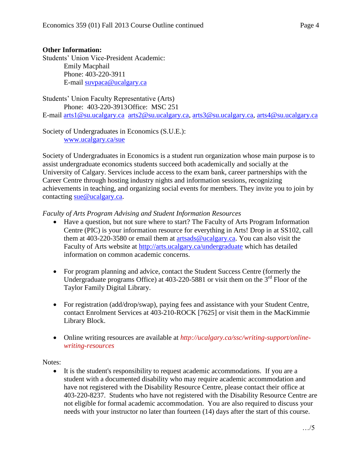## **Other Information:**

Students' Union Vice-President Academic: Emily Macphail Phone: 403-220-3911 E-mail [suvpaca@ucalgary.ca](mailto:subpaca@ucalgary.ca)

Students' Union Faculty Representative (Arts) Phone: 403-220-3913Office: MSC 251 E-mail [arts1@su.ucalgary.ca](mailto:arts1@su.ucalgary.ca) [arts2@su.ucalgary.ca,](mailto:arts2@su.ucalgary.ca) [arts3@su.ucalgary.ca,](mailto:arts3@su.ucalgary.ca) [arts4@su.ucalgary.ca](mailto:arts4@su.ucalgary.ca)

Society of Undergraduates in Economics (S.U.E.): [www.ucalgary.ca/sue](http://www.fp.ucalgary.ca/econ)

Society of Undergraduates in Economics is a student run organization whose main purpose is to assist undergraduate economics students succeed both academically and socially at the University of Calgary. Services include access to the exam bank, career partnerships with the Career Centre through hosting industry nights and information sessions, recognizing achievements in teaching, and organizing social events for members. They invite you to join by contacting [sue@ucalgary.ca.](mailto:sue@ucalgary.ca)

*Faculty of Arts Program Advising and Student Information Resources*

- Have a question, but not sure where to start? The Faculty of Arts Program Information Centre (PIC) is your information resource for everything in Arts! Drop in at SS102, call them at 403-220-3580 or email them at [artsads@ucalgary.ca.](mailto:artsads@ucalgary.ca) You can also visit the Faculty of Arts website at<http://arts.ucalgary.ca/undergraduate> which has detailed information on common academic concerns.
- For program planning and advice, contact the Student Success Centre (formerly the Undergraduate programs Office) at  $403-220-5881$  or visit them on the  $3<sup>rd</sup>$  Floor of the Taylor Family Digital Library.
- For registration (add/drop/swap), paying fees and assistance with your Student Centre, contact Enrolment Services at 403-210-ROCK [7625] or visit them in the MacKimmie Library Block.
- Online writing resources are available at *http://ucalgary.ca/ssc/writing-support/onlinewriting-resources*

Notes:

 It is the student's responsibility to request academic accommodations. If you are a student with a documented disability who may require academic accommodation and have not registered with the Disability Resource Centre, please contact their office at 403-220-8237. Students who have not registered with the Disability Resource Centre are not eligible for formal academic accommodation. You are also required to discuss your needs with your instructor no later than fourteen (14) days after the start of this course.